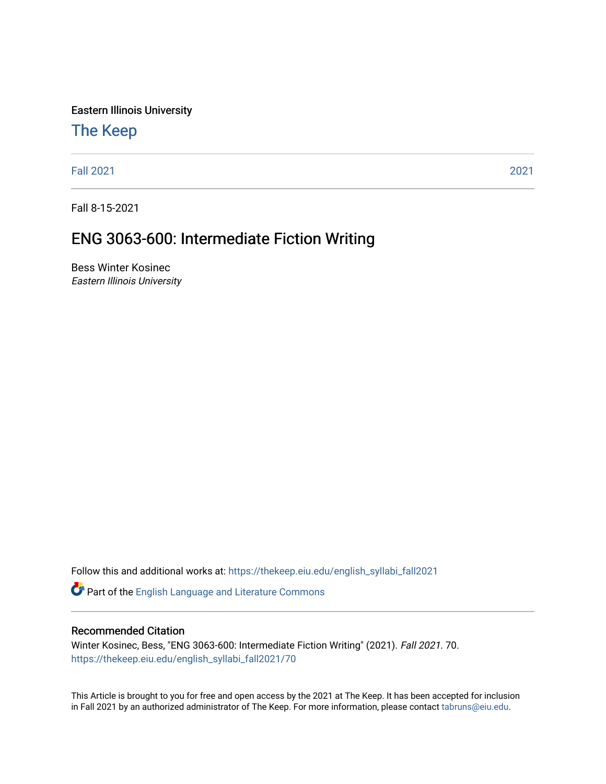Eastern Illinois University

# [The Keep](https://thekeep.eiu.edu/)

[Fall 2021](https://thekeep.eiu.edu/english_syllabi_fall2021) [2021](https://thekeep.eiu.edu/english_syllabi2021) 

Fall 8-15-2021

# ENG 3063-600: Intermediate Fiction Writing

Bess Winter Kosinec Eastern Illinois University

Follow this and additional works at: [https://thekeep.eiu.edu/english\\_syllabi\\_fall2021](https://thekeep.eiu.edu/english_syllabi_fall2021?utm_source=thekeep.eiu.edu%2Fenglish_syllabi_fall2021%2F70&utm_medium=PDF&utm_campaign=PDFCoverPages) 

Part of the [English Language and Literature Commons](http://network.bepress.com/hgg/discipline/455?utm_source=thekeep.eiu.edu%2Fenglish_syllabi_fall2021%2F70&utm_medium=PDF&utm_campaign=PDFCoverPages)

#### Recommended Citation

Winter Kosinec, Bess, "ENG 3063-600: Intermediate Fiction Writing" (2021). Fall 2021. 70. [https://thekeep.eiu.edu/english\\_syllabi\\_fall2021/70](https://thekeep.eiu.edu/english_syllabi_fall2021/70?utm_source=thekeep.eiu.edu%2Fenglish_syllabi_fall2021%2F70&utm_medium=PDF&utm_campaign=PDFCoverPages)

This Article is brought to you for free and open access by the 2021 at The Keep. It has been accepted for inclusion in Fall 2021 by an authorized administrator of The Keep. For more information, please contact [tabruns@eiu.edu](mailto:tabruns@eiu.edu).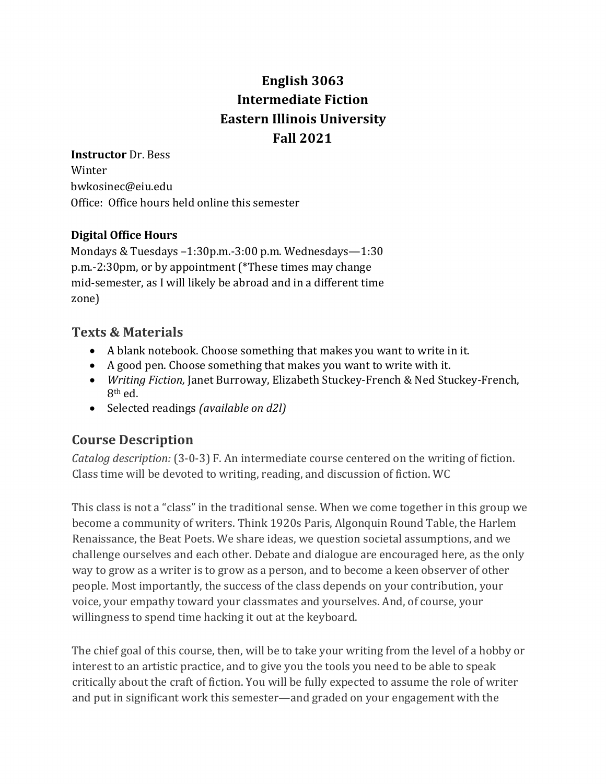# English 3063 **Intermediate Fiction Eastern Illinois University Fall 2021**

**Instructor** Dr. Bess Winter bwkosinec@eiu.edu Office: Office hours held online this semester

#### **Digital Office Hours**

Mondays & Tuesdays  $-1:30$ p.m. $-3:00$  p.m. Wednesdays $-1:30$ p.m.-2:30pm, or by appointment (\*These times may change mid-semester, as I will likely be abroad and in a different time zone)

### **Texts & Materials**

- A blank notebook. Choose something that makes you want to write in it.
- A good pen. Choose something that makes you want to write with it.
- *Writing Fiction, Janet Burroway, Elizabeth Stuckey-French & Ned Stuckey-French,* 8th ed.
- Selected readings *(available on d2l)*

# **Course Description**

*Catalog description:* (3-0-3) F. An intermediate course centered on the writing of fiction. Class time will be devoted to writing, reading, and discussion of fiction. WC

This class is not a "class" in the traditional sense. When we come together in this group we become a community of writers. Think 1920s Paris, Algonquin Round Table, the Harlem Renaissance, the Beat Poets. We share ideas, we question societal assumptions, and we challenge ourselves and each other. Debate and dialogue are encouraged here, as the only way to grow as a writer is to grow as a person, and to become a keen observer of other people. Most importantly, the success of the class depends on your contribution, your voice, your empathy toward your classmates and yourselves. And, of course, your willingness to spend time hacking it out at the keyboard.

The chief goal of this course, then, will be to take your writing from the level of a hobby or interest to an artistic practice, and to give you the tools you need to be able to speak critically about the craft of fiction. You will be fully expected to assume the role of writer and put in significant work this semester—and graded on your engagement with the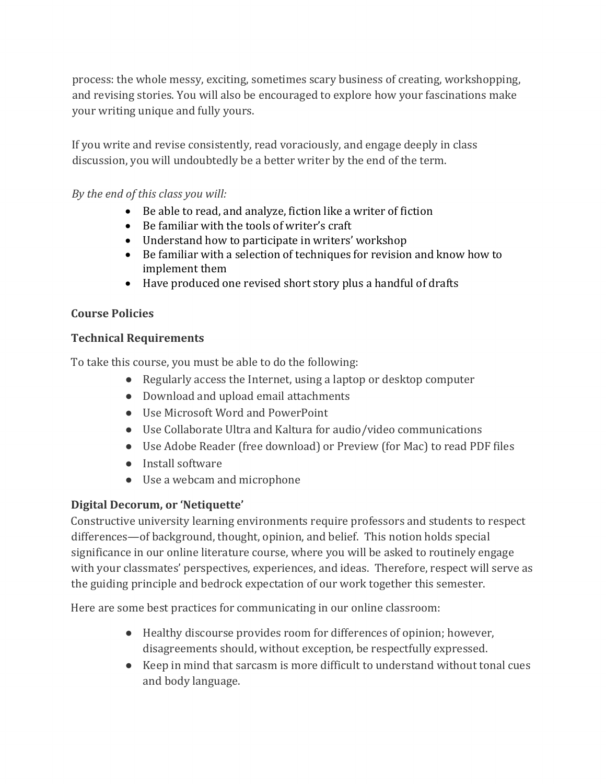process: the whole messy, exciting, sometimes scary business of creating, workshopping, and revising stories. You will also be encouraged to explore how your fascinations make your writing unique and fully yours.

If you write and revise consistently, read voraciously, and engage deeply in class discussion, you will undoubtedly be a better writer by the end of the term.

#### *By the end of this class you will:*

- Be able to read, and analyze, fiction like a writer of fiction
- Be familiar with the tools of writer's craft
- Understand how to participate in writers' workshop
- Be familiar with a selection of techniques for revision and know how to implement them
- Have produced one revised short story plus a handful of drafts

#### **Course Policies**

#### **Technical Requirements**

To take this course, you must be able to do the following:

- Regularly access the Internet, using a laptop or desktop computer
- Download and upload email attachments
- Use Microsoft Word and PowerPoint
- Use Collaborate Ultra and Kaltura for audio/video communications
- Use Adobe Reader (free download) or Preview (for Mac) to read PDF files
- Install software
- Use a webcam and microphone

#### **Digital Decorum, or 'Netiquette'**

Constructive university learning environments require professors and students to respect differences—of background, thought, opinion, and belief. This notion holds special significance in our online literature course, where you will be asked to routinely engage with your classmates' perspectives, experiences, and ideas. Therefore, respect will serve as the guiding principle and bedrock expectation of our work together this semester.

Here are some best practices for communicating in our online classroom:

- Healthy discourse provides room for differences of opinion; however, disagreements should, without exception, be respectfully expressed.
- Keep in mind that sarcasm is more difficult to understand without tonal cues and body language.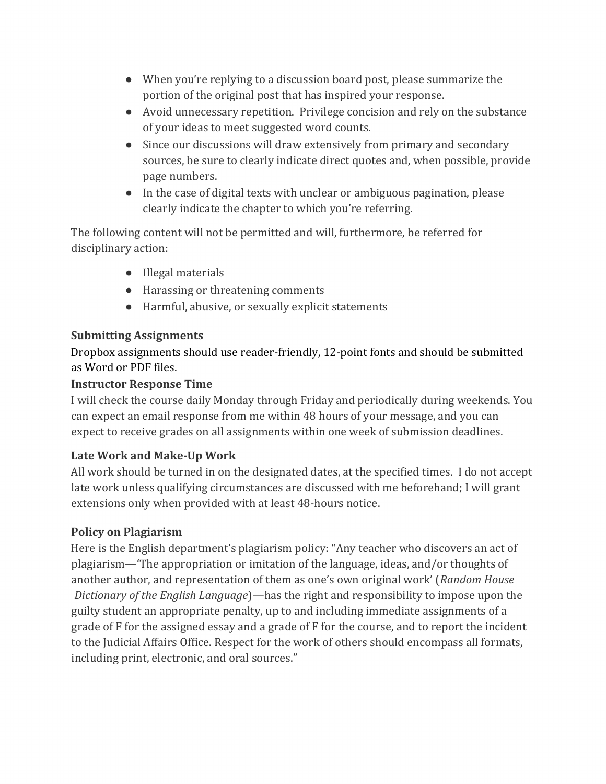- When you're replying to a discussion board post, please summarize the portion of the original post that has inspired your response.
- Avoid unnecessary repetition. Privilege concision and rely on the substance of your ideas to meet suggested word counts.
- Since our discussions will draw extensively from primary and secondary sources, be sure to clearly indicate direct quotes and, when possible, provide page numbers.
- $\bullet$  In the case of digital texts with unclear or ambiguous pagination, please clearly indicate the chapter to which you're referring.

The following content will not be permitted and will, furthermore, be referred for disciplinary action:

- Illegal materials
- Harassing or threatening comments
- Harmful, abusive, or sexually explicit statements

### **Submitting Assignments**

Dropbox assignments should use reader-friendly, 12-point fonts and should be submitted as Word or PDF files.

#### **Instructor Response Time**

I will check the course daily Monday through Friday and periodically during weekends. You can expect an email response from me within 48 hours of your message, and you can expect to receive grades on all assignments within one week of submission deadlines.

#### Late Work and Make-Up Work

All work should be turned in on the designated dates, at the specified times. I do not accept late work unless qualifying circumstances are discussed with me beforehand; I will grant extensions only when provided with at least 48-hours notice.

#### **Policy on Plagiarism**

Here is the English department's plagiarism policy: "Any teacher who discovers an act of plagiarism—"The appropriation or imitation of the language, ideas, and/or thoughts of another author, and representation of them as one's own original work' (*Random House*) *Dictionary of the English Language*)—has the right and responsibility to impose upon the guilty student an appropriate penalty, up to and including immediate assignments of a grade of F for the assigned essay and a grade of F for the course, and to report the incident to the Judicial Affairs Office. Respect for the work of others should encompass all formats, including print, electronic, and oral sources."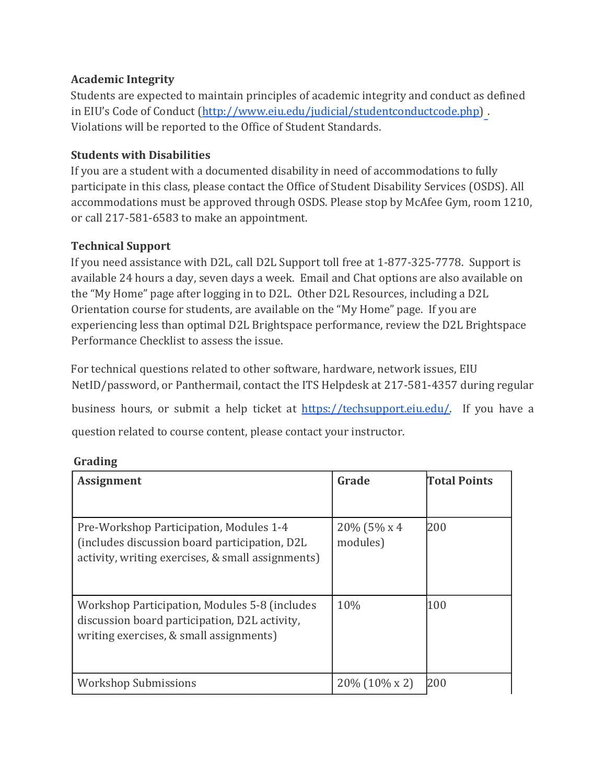#### **Academic Integrity**

Students are expected to maintain principles of academic integrity and conduct as defined in EIU's Code of Conduct (http://www.eiu.edu/judicial/studentconductcode.php). Violations will be reported to the Office of Student Standards.

#### **Students with Disabilities**

If you are a student with a documented disability in need of accommodations to fully participate in this class, please contact the Office of Student Disability Services (OSDS). All accommodations must be approved through OSDS. Please stop by McAfee Gym, room 1210, or call 217-581-6583 to make an appointment.

#### **Technical Support**

If you need assistance with D2L, call D2L Support toll free at  $1-877-325-7778$ . Support is available 24 hours a day, seven days a week. Email and Chat options are also available on the "My Home" page after logging in to D2L. Other D2L Resources, including a D2L Orientation course for students, are available on the "My Home" page. If you are experiencing less than optimal D2L Brightspace performance, review the D2L Brightspace Performance Checklist to assess the issue.

For technical questions related to other software, hardware, network issues, EIU NetID/password, or Panthermail, contact the ITS Helpdesk at 217-581-4357 during regular

business hours, or submit a help ticket at https://techsupport.eiu.edu/. If you have a question related to course content, please contact your instructor.

#### **Grading**

| <b>Assignment</b>                                                                                                                              | Grade                    | <b>Total Points</b> |
|------------------------------------------------------------------------------------------------------------------------------------------------|--------------------------|---------------------|
| Pre-Workshop Participation, Modules 1-4<br>(includes discussion board participation, D2L)<br>activity, writing exercises, & small assignments) | 20% (5% x 4)<br>modules) | 200                 |
| Workshop Participation, Modules 5-8 (includes<br>discussion board participation, D2L activity,<br>writing exercises, & small assignments)      | 10%                      | 100                 |
| <b>Workshop Submissions</b>                                                                                                                    | $20\%$ (10\% x 2)        | 200                 |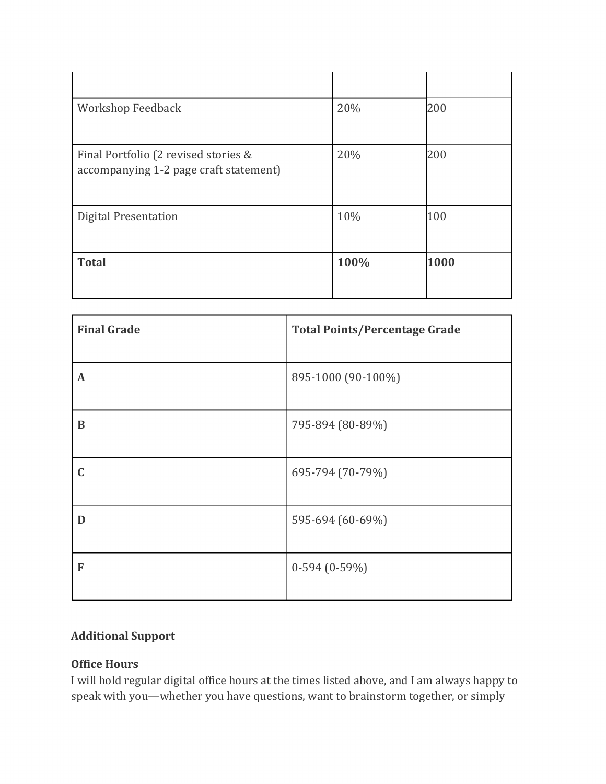| Workshop Feedback                                                              | 20%  | 200  |
|--------------------------------------------------------------------------------|------|------|
| Final Portfolio (2 revised stories &<br>accompanying 1-2 page craft statement) | 20%  | 200  |
| <b>Digital Presentation</b>                                                    | 10%  | 100  |
| <b>Total</b>                                                                   | 100% | 1000 |

| <b>Final Grade</b> | <b>Total Points/Percentage Grade</b> |
|--------------------|--------------------------------------|
| $\mathbf A$        | 895-1000 (90-100%)                   |
| $\bf{B}$           | 795-894 (80-89%)                     |
| C                  | 695-794 (70-79%)                     |
| D                  | 595-694 (60-69%)                     |
| F                  | $0-594(0-59%)$                       |

#### **Additional Support**

#### **Office Hours**

I will hold regular digital office hours at the times listed above, and I am always happy to speak with you—whether you have questions, want to brainstorm together, or simply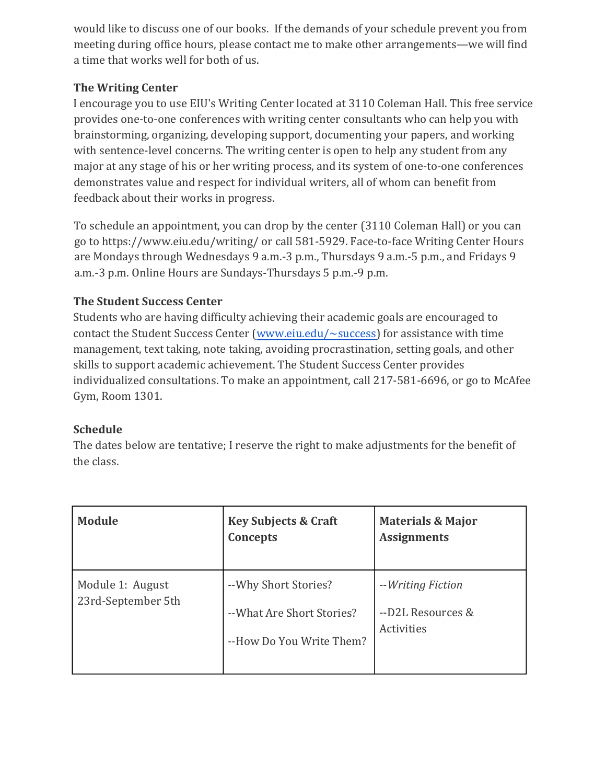would like to discuss one of our books. If the demands of your schedule prevent you from meeting during office hours, please contact me to make other arrangements—we will find a time that works well for both of us.

#### **The Writing Center**

I encourage you to use EIU's Writing Center located at 3110 Coleman Hall. This free service provides one-to-one conferences with writing center consultants who can help you with brainstorming, organizing, developing support, documenting your papers, and working with sentence-level concerns. The writing center is open to help any student from any major at any stage of his or her writing process, and its system of one-to-one conferences demonstrates value and respect for individual writers, all of whom can benefit from feedback about their works in progress.

To schedule an appointment, you can drop by the center (3110 Coleman Hall) or you can go to https://www.eiu.edu/writing/ or call 581-5929. Face-to-face Writing Center Hours are Mondays through Wednesdays 9 a.m.-3 p.m., Thursdays 9 a.m.-5 p.m., and Fridays 9 a.m.-3 p.m. Online Hours are Sundays-Thursdays 5 p.m.-9 p.m.

#### **The Student Success Center**

Students who are having difficulty achieving their academic goals are encouraged to contact the Student Success Center (www.eiu.edu/ $\sim$ success) for assistance with time management, text taking, note taking, avoiding procrastination, setting goals, and other skills to support academic achievement. The Student Success Center provides individualized consultations. To make an appointment, call 217-581-6696, or go to McAfee Gym, Room 1301.

#### **Schedule**

The dates below are tentative; I reserve the right to make adjustments for the benefit of the class.

| Module                                 | <b>Key Subjects &amp; Craft</b><br>Concepts                                     | <b>Materials &amp; Major</b><br><b>Assignments</b>   |
|----------------------------------------|---------------------------------------------------------------------------------|------------------------------------------------------|
| Module 1: August<br>23rd-September 5th | -- Why Short Stories?<br>-- What Are Short Stories?<br>--How Do You Write Them? | --Writing Fiction<br>--D2L Resources &<br>Activities |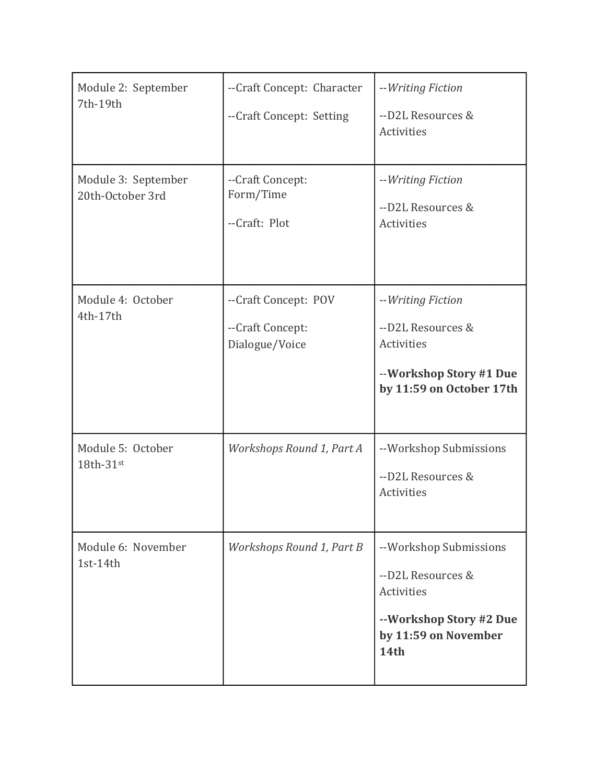| Module 2: September<br>7th-19th         | --Craft Concept: Character<br>--Craft Concept: Setting     | --Writing Fiction<br>--D2L Resources &<br>Activities                                                                 |
|-----------------------------------------|------------------------------------------------------------|----------------------------------------------------------------------------------------------------------------------|
| Module 3: September<br>20th-October 3rd | --Craft Concept:<br>Form/Time<br>--Craft: Plot             | --Writing Fiction<br>--D2L Resources &<br>Activities                                                                 |
| Module 4: October<br>4th-17th           | --Craft Concept: POV<br>--Craft Concept:<br>Dialogue/Voice | --Writing Fiction<br>--D2L Resources &<br>Activities<br>--Workshop Story #1 Due<br>by 11:59 on October 17th          |
| Module 5: October<br>18th-31st          | Workshops Round 1, Part A                                  | --Workshop Submissions<br>--D2L Resources &<br>Activities                                                            |
| Module 6: November<br>1st-14th          | Workshops Round 1, Part B                                  | --Workshop Submissions<br>--D2L Resources &<br>Activities<br>--Workshop Story #2 Due<br>by 11:59 on November<br>14th |